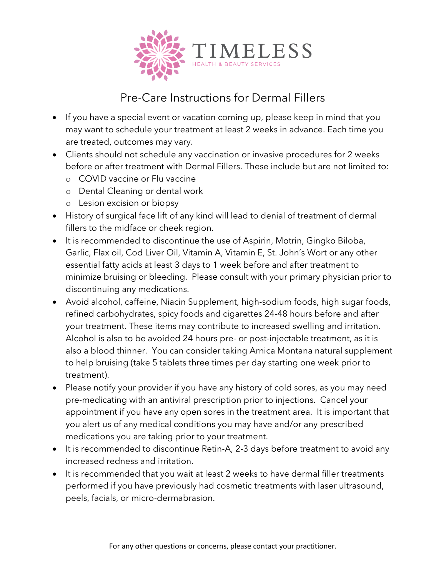

## Pre-Care Instructions for Dermal Fillers

- If you have a special event or vacation coming up, please keep in mind that you may want to schedule your treatment at least 2 weeks in advance. Each time you are treated, outcomes may vary.
- Clients should not schedule any vaccination or invasive procedures for 2 weeks before or after treatment with Dermal Fillers. These include but are not limited to:
	- o COVID vaccine or Flu vaccine
	- o Dental Cleaning or dental work
	- o Lesion excision or biopsy
- History of surgical face lift of any kind will lead to denial of treatment of dermal fillers to the midface or cheek region.
- It is recommended to discontinue the use of Aspirin, Motrin, Gingko Biloba, Garlic, Flax oil, Cod Liver Oil, Vitamin A, Vitamin E, St. John's Wort or any other essential fatty acids at least 3 days to 1 week before and after treatment to minimize bruising or bleeding. Please consult with your primary physician prior to discontinuing any medications.
- Avoid alcohol, caffeine, Niacin Supplement, high-sodium foods, high sugar foods, refined carbohydrates, spicy foods and cigarettes 24-48 hours before and after your treatment. These items may contribute to increased swelling and irritation. Alcohol is also to be avoided 24 hours pre- or post-injectable treatment, as it is also a blood thinner. You can consider taking Arnica Montana natural supplement to help bruising (take 5 tablets three times per day starting one week prior to treatment).
- Please notify your provider if you have any history of cold sores, as you may need pre-medicating with an antiviral prescription prior to injections. Cancel your appointment if you have any open sores in the treatment area. It is important that you alert us of any medical conditions you may have and/or any prescribed medications you are taking prior to your treatment.
- It is recommended to discontinue Retin-A, 2-3 days before treatment to avoid any increased redness and irritation.
- It is recommended that you wait at least 2 weeks to have dermal filler treatments performed if you have previously had cosmetic treatments with laser ultrasound, peels, facials, or micro-dermabrasion.